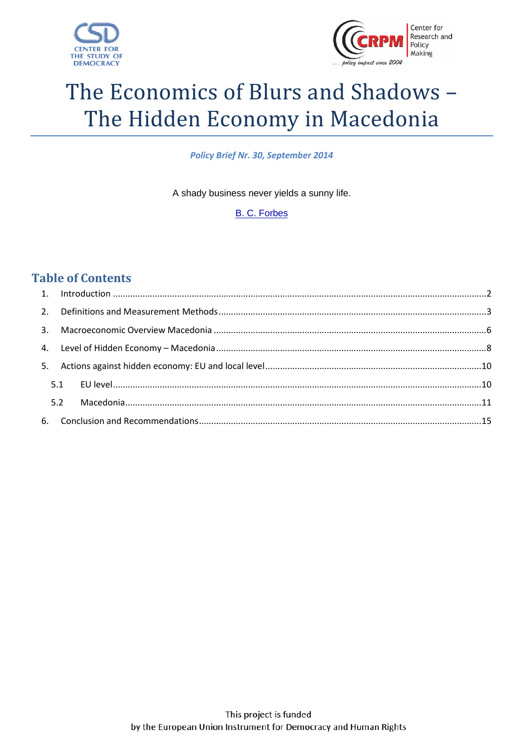



# The Economics of Blurs and Shadows -The Hidden Economy in Macedonia

**Policy Brief Nr. 30, September 2014** 

A shady business never yields a sunny life.

**B. C. Forbes** 

# **Table of Contents**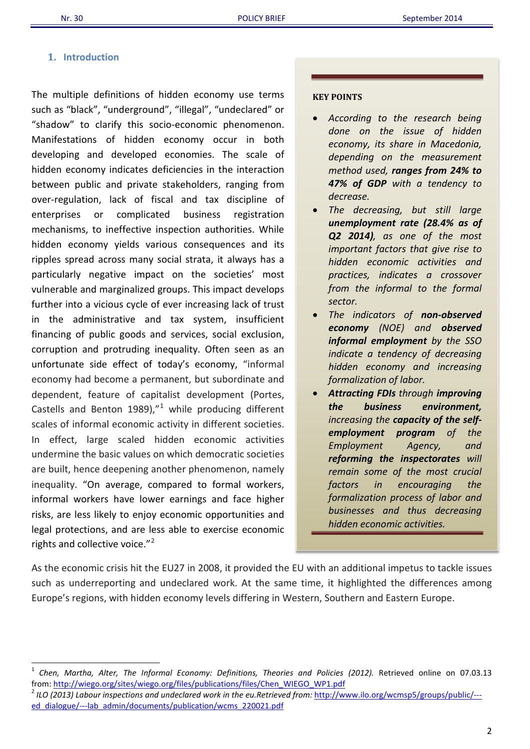# <span id="page-1-0"></span>**1. Introduction**

The multiple definitions of hidden economy use terms such as "black", "underground", "illegal", "undeclared" or "shadow" to clarify this socio-economic phenomenon. Manifestations of hidden economy occur in both developing and developed economies. The scale of hidden economy indicates deficiencies in the interaction between public and private stakeholders, ranging from over-regulation, lack of fiscal and tax discipline of enterprises or complicated business registration mechanisms, to ineffective inspection authorities. While hidden economy yields various consequences and its ripples spread across many social strata, it always has a particularly negative impact on the societies' most vulnerable and marginalized groups. This impact develops further into a vicious cycle of ever increasing lack of trust in the administrative and tax system, insufficient financing of public goods and services, social exclusion, corruption and protruding inequality. Often seen as an unfortunate side effect of today's economy, "informal economy had become a permanent, but subordinate and dependent, feature of capitalist development (Portes, Castells and Benton [1](#page-1-1)989), $n<sup>1</sup>$  while producing different scales of informal economic activity in different societies. In effect, large scaled hidden economic activities undermine the basic values on which democratic societies are built, hence deepening another phenomenon, namely inequality. "On average, compared to formal workers, informal workers have lower earnings and face higher risks, are less likely to enjoy economic opportunities and legal protections, and are less able to exercise economic rights and collective voice."<sup>[2](#page-1-2)</sup>

#### **KEY POINTS**

- *According to the research being done on the issue of hidden economy, its share in Macedonia, depending on the measurement method used, ranges from 24% to 47% of GDP with a tendency to decrease.*
- *The decreasing, but still large unemployment rate (28.4% as of Q2 2014), as one of the most important factors that give rise to hidden economic activities and practices, indicates a crossover from the informal to the formal sector.*
- *The indicators of non-observed economy (NOE) and observed informal employment by the SSO indicate a tendency of decreasing hidden economy and increasing formalization of labor.*
- *Attracting FDIs through improving the business environment, increasing the capacity of the selfemployment program of the Employment Agency, and reforming the inspectorates will remain some of the most crucial factors in encouraging the formalization process of labor and businesses and thus decreasing hidden economic activities.*

As the economic crisis hit the EU27 in 2008, it provided the EU with an additional impetus to tackle issues such as underreporting and undeclared work. At the same time, it highlighted the differences among Europe's regions, with hidden economy levels differing in Western, Southern and Eastern Europe.

<span id="page-1-1"></span> <sup>1</sup> *Chen, Martha, Alter, The Informal Economy: Definitions, Theories and Policies (2012).* Retrieved online on 07.03.13 from: [http://wiego.org/sites/wiego.org/files/publications/files/Chen\\_WIEGO\\_WP1.pdf](http://wiego.org/sites/wiego.org/files/publications/files/Chen_WIEGO_WP1.pdf)<br><sup>2</sup> ILO (2013) Labour inspections and undeclared work in the eu.Retrieved from: [http://www.ilo.org/wcmsp5/groups/public/---](http://www.ilo.org/wcmsp5/groups/public/---ed_dialogue/---lab_admin/documents/publication/wcms_220021.pdf)

<span id="page-1-2"></span>ed dialogue/---lab admin/documents/publication/wcms 220021.pdf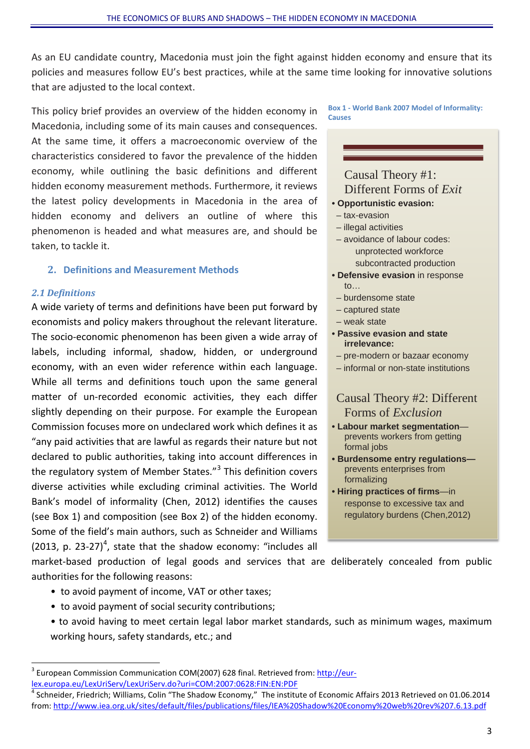As an EU candidate country, Macedonia must join the fight against hidden economy and ensure that its policies and measures follow EU's best practices, while at the same time looking for innovative solutions that are adjusted to the local context.

This policy brief provides an overview of the hidden economy in Macedonia, including some of its main causes and consequences. At the same time, it offers a macroeconomic overview of the characteristics considered to favor the prevalence of the hidden economy, while outlining the basic definitions and different hidden economy measurement methods. Furthermore, it reviews the latest policy developments in Macedonia in the area of hidden economy and delivers an outline of where this phenomenon is headed and what measures are, and should be taken, to tackle it.

# <span id="page-2-0"></span>**2. Definitions and Measurement Methods**

# *2.1 Definitions*

A wide variety of terms and definitions have been put forward by economists and policy makers throughout the relevant literature. The socio-economic phenomenon has been given a wide array of labels, including informal, shadow, hidden, or underground economy, with an even wider reference within each language. While all terms and definitions touch upon the same general matter of un-recorded economic activities, they each differ slightly depending on their purpose. For example the European Commission focuses more on undeclared work which defines it as "any paid activities that are lawful as regards their nature but not declared to public authorities, taking into account differences in the regulatory system of Member States."<sup>[3](#page-2-1)</sup> This definition covers diverse activities while excluding criminal activities. The World Bank's model of informality (Chen, 2012) identifies the causes (see Box 1) and composition (see Box 2) of the hidden economy. Some of the field's main authors, such as Schneider and Williams (2013, p. 23-27)<sup>[4](#page-2-2)</sup>, state that the shadow economy: "includes all **Box 1 - World Bank 2007 Model of Informality: Causes**

Causal Theory #1: Different Forms of *Exit* **• Opportunistic evasion:** 

- tax-evasion
- illegal activities
- avoidance of labour codes: unprotected workforce subcontracted production
- **Defensive evasion** in response to…
- burdensome state
- captured state
- weak state
- **Passive evasion and state irrelevance:**
- pre-modern or bazaar economy
- informal or non-state institutions

# Causal Theory #2: Different Forms of *Exclusion*

- **Labour market segmentation** prevents workers from getting formal jobs
- **Burdensome entry regulations** prevents enterprises from formalizing
- **Hiring practices of firms**—in response to excessive tax and regulatory burdens (Chen,2012)

market-based production of legal goods and services that are deliberately concealed from public authorities for the following reasons:

- to avoid payment of income, VAT or other taxes;
- to avoid payment of social security contributions;
- to avoid having to meet certain legal labor market standards, such as minimum wages, maximum working hours, safety standards, etc.; and

<span id="page-2-1"></span><sup>&</sup>lt;sup>3</sup> European Commission Communication COM(2007) 628 final. Retrieved from: [http://eur](http://eur-lex.europa.eu/LexUriServ/LexUriServ.do?uri=COM:2007:0628:FIN:EN:PDF)[lex.europa.eu/LexUriServ/LexUriServ.do?uri=COM:2007:0628:FIN:EN:PDF](http://eur-lex.europa.eu/LexUriServ/LexUriServ.do?uri=COM:2007:0628:FIN:EN:PDF)

<span id="page-2-2"></span><sup>&</sup>lt;sup>4</sup> Schneider, Friedrich; Williams, Colin "The Shadow Economy," The institute of Economic Affairs 2013 Retrieved on 01.06.2014 from:<http://www.iea.org.uk/sites/default/files/publications/files/IEA%20Shadow%20Economy%20web%20rev%207.6.13.pdf>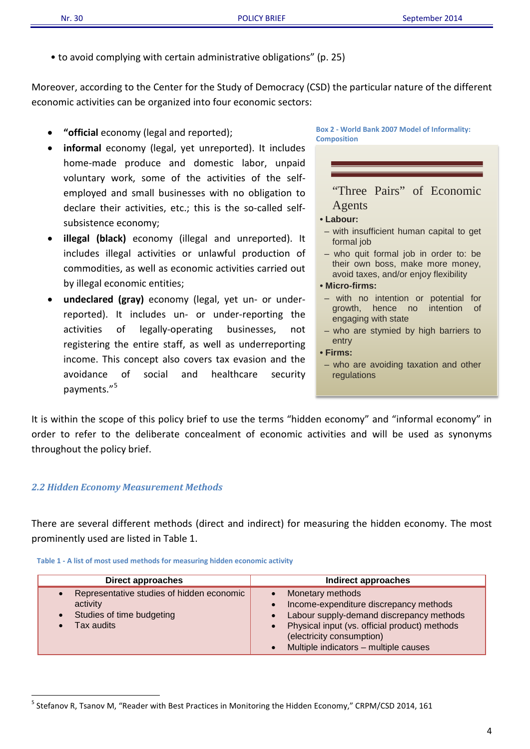• to avoid complying with certain administrative obligations" (p. 25)

Moreover, according to the Center for the Study of Democracy (CSD) the particular nature of the different economic activities can be organized into four economic sectors:

- **"official** economy (legal and reported);
- informal economy (legal, yet unreported). It includes home-made produce and domestic labor, unpaid voluntary work, some of the activities of the selfemployed and small businesses with no obligation to declare their activities, etc.; this is the so-called selfsubsistence economy;
- **illegal (black)** economy (illegal and unreported). It includes illegal activities or unlawful production of commodities, as well as economic activities carried out by illegal economic entities;
- **undeclared (gray)** economy (legal, yet un- or underreported). It includes un- or under-reporting the activities of legally-operating businesses, not registering the entire staff, as well as underreporting income. This concept also covers tax evasion and the avoidance of social and healthcare security payments."<sup>[5](#page-3-1)</sup>

**Box 2 - World Bank 2007 Model of Informality: Composition**

"Three Pairs" of Economic Agents

#### **• Labour:**

- with insufficient human capital to get formal job
- who quit formal job in order to: be their own boss, make more money, avoid taxes, and/or enjoy flexibility

# **• Micro-firms:**

- with no intention or potential for growth, hence no intention of engaging with state
- who are stymied by high barriers to entry

#### **• Firms:**

– who are avoiding taxation and other regulations

It is within the scope of this policy brief to use the terms "hidden economy" and "informal economy" in order to refer to the deliberate concealment of economic activities and will be used as synonyms throughout the policy brief.

# *2.2 Hidden Economy Measurement Methods*

There are several different methods (direct and indirect) for measuring the hidden economy. The most prominently used are listed in [Table 1.](#page-3-0)

<span id="page-3-0"></span>

| Table 1 - A list of most used methods for measuring hidden economic activity |  |
|------------------------------------------------------------------------------|--|
|------------------------------------------------------------------------------|--|

| <b>Direct approaches</b>                                                                         | Indirect approaches                                                                                                                                                                                                                          |
|--------------------------------------------------------------------------------------------------|----------------------------------------------------------------------------------------------------------------------------------------------------------------------------------------------------------------------------------------------|
| Representative studies of hidden economic<br>activity<br>Studies of time budgeting<br>Tax audits | Monetary methods<br>Income-expenditure discrepancy methods<br>Labour supply-demand discrepancy methods<br>$\bullet$<br>• Physical input (vs. official product) methods<br>(electricity consumption)<br>Multiple indicators - multiple causes |

<span id="page-3-1"></span> <sup>5</sup> Stefanov R, Tsanov M, "Reader with Best Practices in Monitoring the Hidden Economy," CRPM/CSD 2014, 161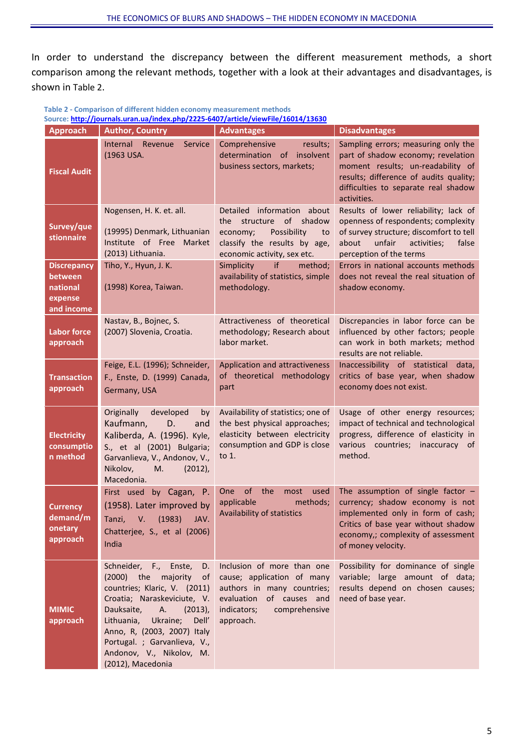In order to understand the discrepancy between the different measurement methods, a short comparison among the relevant methods, together with a look at their advantages and disadvantages, is shown in [Table 2.](#page-4-0)

<span id="page-4-0"></span>**Table 2 - Comparison of different hidden economy measurement methods** 

**Source[: http://journals.uran.ua/index.php/2225-6407/article/viewFile/16014/13630](http://journals.uran.ua/index.php/2225-6407/article/viewFile/16014/13630)**

| <b>Approach</b>                                                    | <b>Author, Country</b>                                                                                                                                                                                                                                                                                       | <b>Advantages</b>                                                                                                                                               | <b>Disadvantages</b>                                                                                                                                                                                            |
|--------------------------------------------------------------------|--------------------------------------------------------------------------------------------------------------------------------------------------------------------------------------------------------------------------------------------------------------------------------------------------------------|-----------------------------------------------------------------------------------------------------------------------------------------------------------------|-----------------------------------------------------------------------------------------------------------------------------------------------------------------------------------------------------------------|
| <b>Fiscal Audit</b>                                                | Internal Revenue<br>Service<br>(1963 USA.                                                                                                                                                                                                                                                                    | Comprehensive<br>results;<br>determination of insolvent<br>business sectors, markets;                                                                           | Sampling errors; measuring only the<br>part of shadow economy; revelation<br>moment results; un-readability of<br>results; difference of audits quality;<br>difficulties to separate real shadow<br>activities. |
| Survey/que<br>stionnaire                                           | Nogensen, H. K. et. all.<br>(19995) Denmark, Lithuanian<br>Institute of Free Market<br>(2013) Lithuania.                                                                                                                                                                                                     | Detailed information about<br>the structure<br>of<br>shadow<br>Possibility<br>economy;<br>to<br>classify the results by age,<br>economic activity, sex etc.     | Results of lower reliability; lack of<br>openness of respondents; complexity<br>of survey structure; discomfort to tell<br>about<br>unfair<br>activities;<br>false<br>perception of the terms                   |
| <b>Discrepancy</b><br>between<br>national<br>expense<br>and income | Tiho, Y., Hyun, J. K.<br>(1998) Korea, Taiwan.                                                                                                                                                                                                                                                               | Simplicity<br>if<br>method;<br>availability of statistics, simple<br>methodology.                                                                               | Errors in national accounts methods<br>does not reveal the real situation of<br>shadow economy.                                                                                                                 |
| <b>Labor force</b><br>approach                                     | Nastav, B., Bojnec, S.<br>(2007) Slovenia, Croatia.                                                                                                                                                                                                                                                          | Attractiveness of theoretical<br>methodology; Research about<br>labor market.                                                                                   | Discrepancies in labor force can be<br>influenced by other factors; people<br>can work in both markets; method<br>results are not reliable.                                                                     |
| <b>Transaction</b><br>approach                                     | Feige, E.L. (1996); Schneider,<br>F., Enste, D. (1999) Canada,<br>Germany, USA                                                                                                                                                                                                                               | Application and attractiveness<br>of theoretical methodology<br>part                                                                                            | Inaccessibility of statistical data,<br>critics of base year, when shadow<br>economy does not exist.                                                                                                            |
| <b>Electricity</b><br>consumptio<br>n method                       | Originally<br>developed<br>by<br>Kaufmann,<br>D.<br>and<br>Kaliberda, A. (1996). Kyle,<br>S., et al (2001) Bulgaria;<br>Garvanlieva, V., Andonov, V.,<br>Nikolov,<br>M.<br>$(2012)$ ,<br>Macedonia.                                                                                                          | Availability of statistics; one of<br>the best physical approaches;<br>elasticity between electricity<br>consumption and GDP is close<br>to 1.                  | Usage of other energy resources;<br>impact of technical and technological<br>progress, difference of elasticity in<br>various countries; inaccuracy of<br>method.                                               |
| <b>Currency</b><br>demand/m<br>onetary<br>approach                 | First used by Cagan, P.<br>(1958). Later improved by<br>Tanzi, V. (1983) JAV.<br>Chatterjee, S., et al (2006)<br>India                                                                                                                                                                                       | One<br>of<br>the<br>used<br>most<br>applicable<br>methods;<br>Availability of statistics                                                                        | The assumption of single factor $-$<br>currency; shadow economy is not<br>implemented only in form of cash;<br>Critics of base year without shadow<br>economy,; complexity of assessment<br>of money velocity.  |
| <b>MIMIC</b><br>approach                                           | Schneider, F., Enste,<br>D.<br>(2000) the majority<br>0f<br>countries; Klaric, V. (2011)<br>Croatia; Naraskeviciute, V.<br>Dauksaite,<br>A.<br>$(2013)$ ,<br>Lithuania,<br>Ukraine;<br>Dell'<br>Anno, R, (2003, 2007) Italy<br>Portugal. ; Garvanlieva, V.,<br>Andonov, V., Nikolov, M.<br>(2012), Macedonia | Inclusion of more than one<br>cause; application of many<br>authors in many countries;<br>evaluation of causes and<br>indicators;<br>comprehensive<br>approach. | Possibility for dominance of single<br>variable; large amount of data;<br>results depend on chosen causes;<br>need of base year.                                                                                |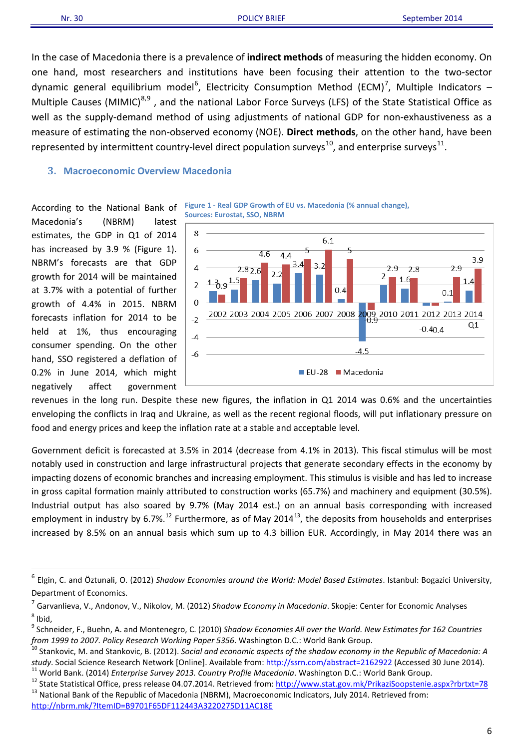In the case of Macedonia there is a prevalence of **indirect methods** of measuring the hidden economy. On one hand, most researchers and institutions have been focusing their attention to the two-sector dynamic general equilibrium model<sup>[6](#page-5-2)</sup>, Electricity Consumption Method (ECM)<sup>[7](#page-5-3)</sup>, Multiple Indicators -Multiple Causes (MIMIC)<sup>[8,](#page-5-4)[9](#page-5-5)</sup>, and the national Labor Force Surveys (LFS) of the State Statistical Office as well as the supply-demand method of using adjustments of national GDP for non-exhaustiveness as a measure of estimating the non-observed economy (NOE). **Direct methods**, on the other hand, have been represented by intermittent country-level direct population surveys<sup>[10](#page-5-6)</sup>, and enterprise surveys<sup>[11](#page-5-7)</sup>.

#### <span id="page-5-0"></span>**3. Macroeconomic Overview Macedonia**

According to the National Bank of Macedonia's (NBRM) latest estimates, the GDP in Q1 of 2014 has increased by 3.9 % [\(Figure 1\)](#page-5-1). NBRM's forecasts are that GDP growth for 2014 will be maintained at 3.7% with a potential of further growth of 4.4% in 2015. NBRM forecasts inflation for 2014 to be held at 1%, thus encouraging consumer spending. On the other hand, SSO registered a deflation of 0.2% in June 2014, which might negatively affect government

<span id="page-5-1"></span>



revenues in the long run. Despite these new figures, the inflation in Q1 2014 was 0.6% and the uncertainties enveloping the conflicts in Iraq and Ukraine, as well as the recent regional floods, will put inflationary pressure on food and energy prices and keep the inflation rate at a stable and acceptable level.

Government deficit is forecasted at 3.5% in 2014 (decrease from 4.1% in 2013). This fiscal stimulus will be most notably used in construction and large infrastructural projects that generate secondary effects in the economy by impacting dozens of economic branches and increasing employment. This stimulus is visible and has led to increase in gross capital formation mainly attributed to construction works (65.7%) and machinery and equipment (30.5%). Industrial output has also soared by 9.7% (May 2014 est.) on an annual basis corresponding with increased employment in industry by 6.7%.<sup>[12](#page-5-8)</sup> Furthermore, as of May 2014<sup>[13](#page-5-9)</sup>, the deposits from households and enterprises increased by 8.5% on an annual basis which sum up to 4.3 billion EUR. Accordingly, in May 2014 there was an

<span id="page-5-2"></span> <sup>6</sup> Elgin, C. and Öztunali, O. (2012) *Shadow Economies around the World: Model Based Estimates*. Istanbul: Bogazici University, Department of Economics.

<span id="page-5-3"></span><sup>7</sup> Garvanlieva, V., Andonov, V., Nikolov, M. (2012) *Shadow Economy in Macedonia*. Skopje: Center for Economic Analyses  $8$  Ibid,

<span id="page-5-5"></span><span id="page-5-4"></span><sup>9</sup> Schneider, F., Buehn, A. and Montenegro, C. (2010) *Shadow Economies All over the World. New Estimates for 162 Countries* 

<span id="page-5-6"></span>from 1999 to 2007. Policy Research Working Paper 5356. Washington D.C.: World Bank Group.<br><sup>10</sup> Stankovic, M. and Stankovic, B. (2012). Social and economic aspects of the shadow economy in the Republic of Macedonia: A study. Social Science Research Network [Online]. Available from: http://ssrn.com/abstract=2162922 (Accessed 30 June 2014).<br><sup>11</sup> World Bank. (2014) *Enterprise Survey 2013. Country Profile Macedonia*. Washington D.C.: World

<span id="page-5-8"></span><span id="page-5-7"></span>

<span id="page-5-9"></span><http://nbrm.mk/?ItemID=B9701F65DF112443A3220275D11AC18E>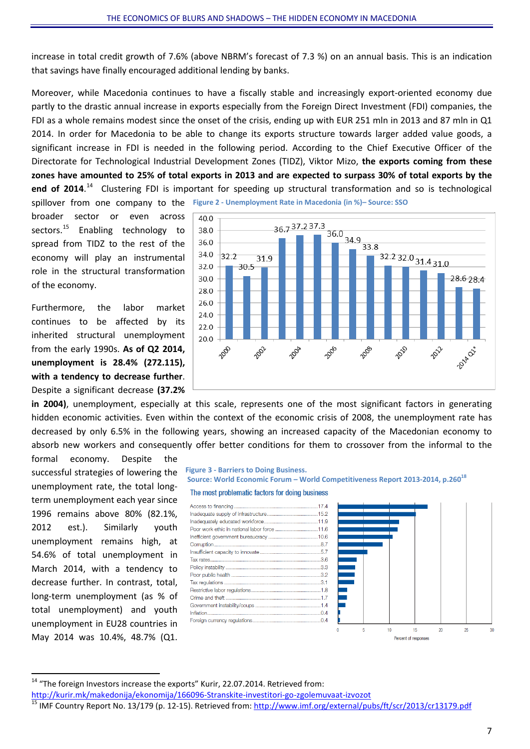increase in total credit growth of 7.6% (above NBRM's forecast of 7.3 %) on an annual basis. This is an indication that savings have finally encouraged additional lending by banks.

Moreover, while Macedonia continues to have a fiscally stable and increasingly export-oriented economy due partly to the drastic annual increase in exports especially from the Foreign Direct Investment (FDI) companies, the FDI as a whole remains modest since the onset of the crisis, ending up with EUR 251 mln in 2013 and 87 mln in Q1 2014. In order for Macedonia to be able to change its exports structure towards larger added value goods, a significant increase in FDI is needed in the following period. According to the Chief Executive Officer of the Directorate for Technological Industrial Development Zones (TIDZ), Viktor Mizo, **the exports coming from these zones have amounted to 25% of total exports in 2013 and are expected to surpass 30% of total exports by the end of 2014**. [14](#page-6-0) Clustering FDI is important for speeding up structural transformation and so is technological spillover from one company to the **Figure 2 - Unemployment Rate in Macedonia (in %)– Source: SSO**

broader sector or even across sectors.<sup>[15](#page-6-1)</sup> Enabling technology to spread from TIDZ to the rest of the economy will play an instrumental role in the structural transformation of the economy.

Furthermore, the labor market continues to be affected by its inherited structural unemployment from the early 1990s. **As of Q2 2014, unemployment is 28.4% (272.115), with a tendency to decrease further**. Despite a significant decrease **(37.2%** 



**in 2004)**, unemployment, especially at this scale, represents one of the most significant factors in generating hidden economic activities. Even within the context of the economic crisis of 2008, the unemployment rate has decreased by only 6.5% in the following years, showing an increased capacity of the Macedonian economy to absorb new workers and consequently offer better conditions for them to crossover from the informal to the

formal economy. Despite the successful strategies of lowering the Figure 3 - Barriers to Doing Business. unemployment rate, the total longterm unemployment each year since 1996 remains above 80% (82.1%, 2012 est.). Similarly youth unemployment remains high, at 54.6% of total unemployment in March 2014, with a tendency to decrease further. In contrast, total, long-term unemployment (as % of total unemployment) and youth unemployment in EU28 countries in May 2014 was 10.4%, 48.7% (Q1.

<span id="page-6-2"></span>

|  |  |  |  | he most problematic factors for doing business |
|--|--|--|--|------------------------------------------------|
|  |  |  |  |                                                |

| Poor work ethic in national labor force 11.6 |  |
|----------------------------------------------|--|
|                                              |  |
|                                              |  |
|                                              |  |
|                                              |  |
|                                              |  |
|                                              |  |
|                                              |  |
|                                              |  |
|                                              |  |
|                                              |  |
|                                              |  |
|                                              |  |
|                                              |  |



<span id="page-6-0"></span><sup>14</sup> "The foreign Investors increase the exports" Kurir, 22.07.2014. Retrieved from:<br>http://kurir.mk/makedonija/ekonomija/166096-Stranskite-investitori-go-zgolemuvaat-izvozot

<span id="page-6-1"></span><sup>&</sup>lt;sup>15</sup> IMF Country Report No. 13/179 (p. 12-15). Retrieved from:<http://www.imf.org/external/pubs/ft/scr/2013/cr13179.pdf>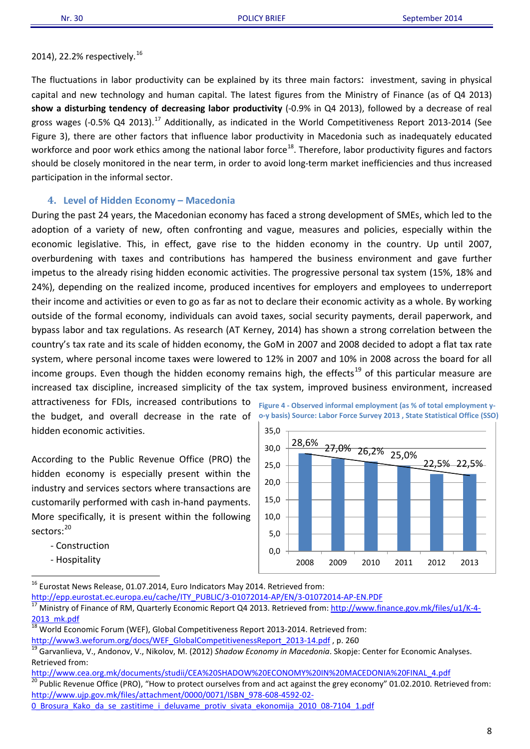# 2014), 22.2% respectively.[16](#page-7-1)

The fluctuations in labor productivity can be explained by its three main factors: investment, saving in physical capital and new technology and human capital. The latest figures from the Ministry of Finance (as of Q4 2013) **show a disturbing tendency of decreasing labor productivity** (-0.9% in Q4 2013), followed by a decrease of real gross wages (-0.5% Q4 2013).<sup>[17](#page-7-2)</sup> Additionally, as indicated in the World Competitiveness Report 2013-2014 (See [Figure 3\)](#page-6-2), there are other factors that influence labor productivity in Macedonia such as inadequately educated workforce and poor work ethics among the national labor force<sup>[18](#page-7-3)</sup>. Therefore, labor productivity figures and factors should be closely monitored in the near term, in order to avoid long-term market inefficiencies and thus increased participation in the informal sector.

# **4. Level of Hidden Economy – Macedonia**

<span id="page-7-0"></span>During the past 24 years, the Macedonian economy has faced a strong development of SMEs, which led to the adoption of a variety of new, often confronting and vague, measures and policies, especially within the economic legislative. This, in effect, gave rise to the hidden economy in the country. Up until 2007, overburdening with taxes and contributions has hampered the business environment and gave further impetus to the already rising hidden economic activities. The progressive personal tax system (15%, 18% and 24%), depending on the realized income, produced incentives for employers and employees to underreport their income and activities or even to go as far as not to declare their economic activity as a whole. By working outside of the formal economy, individuals can avoid taxes, social security payments, derail paperwork, and bypass labor and tax regulations. As research (AT Kerney, 2014) has shown a strong correlation between the country's tax rate and its scale of hidden economy, the GoM in 2007 and 2008 decided to adopt a flat tax rate system, where personal income taxes were lowered to 12% in 2007 and 10% in 2008 across the board for all income groups. Even though the hidden economy remains high, the effects<sup>[19](#page-7-4)</sup> of this particular measure are increased tax discipline, increased simplicity of the tax system, improved business environment, increased

attractiveness for FDIs, increased contributions to the budget, and overall decrease in the rate of hidden economic activities.

According to the Public Revenue Office (PRO) the hidden economy is especially present within the industry and services sectors where transactions are customarily performed with cash in-hand payments. More specifically, it is present within the following sectors: [20](#page-7-5)

- Construction
- Hospitality

<span id="page-7-6"></span>

 $^{16}$  Eurostat News Release, 01.07.2014, Euro Indicators May 2014. Retrieved from:

<span id="page-7-2"></span>

<span id="page-7-1"></span>[http://epp.eurostat.ec.europa.eu/cache/ITY\\_PUBLIC/3-01072014-AP/EN/3-01072014-AP-EN.PDF](http://epp.eurostat.ec.europa.eu/cache/ITY_PUBLIC/3-01072014-AP/EN/3-01072014-AP-EN.PDF) 17 Ministry of Finance of RM, Quarterly Economic Report Q4 2013. Retrieved from: [http://www.finance.gov.mk/files/u1/K-4-](http://www.finance.gov.mk/files/u1/K-4-2013_mk.pdf)<br><sup>17</sup> Ministry 2013\_mk.pdf<br><sup>18</sup> World Economic Forum (WEF), Global Competitiveness Report 2013-2014. Retrieved from:

<span id="page-7-3"></span>

<span id="page-7-4"></span>[http://www3.weforum.org/docs/WEF\\_GlobalCompetitivenessReport\\_2013-14.pdf](http://www3.weforum.org/docs/WEF_GlobalCompetitivenessReport_2013-14.pdf) , p. 260<br><sup>19</sup> Garvanlieva, V., Andonov, V., Nikolov, M. (2012) *Shadow Economy in Macedonia*. Skopje: Center for Economic Analyses. Retrieved from:

[http://www.cea.org.mk/documents/studii/CEA%20SHADOW%20ECONOMY%20IN%20MACEDONIA%20FINAL\\_4.pdf](http://www.cea.org.mk/documents/studii/CEA%20SHADOW%20ECONOMY%20IN%20MACEDONIA%20FINAL_4.pdf)<br><sup>20</sup> Bublie Bovenue Office (BBO), "How to protect ourselves from and act against the groy economy" 01.02.2010, Betri

<span id="page-7-5"></span>Public Revenue Office (PRO), "How to protect ourselves from and act against the grey economy" 01.02.2010. Retrieved from: [http://www.ujp.gov.mk/files/attachment/0000/0071/ISBN\\_978-608-4592-02-](http://www.ujp.gov.mk/files/attachment/0000/0071/ISBN_978-608-4592-02-0_Brosura_Kako_da_se_zastitime_i_deluvame_protiv_sivata_ekonomija_2010_08-7104_1.pdf)

<sup>0</sup> Brosura Kako da se zastitime i deluvame protiv sivata ekonomija 2010 08-7104 1.pdf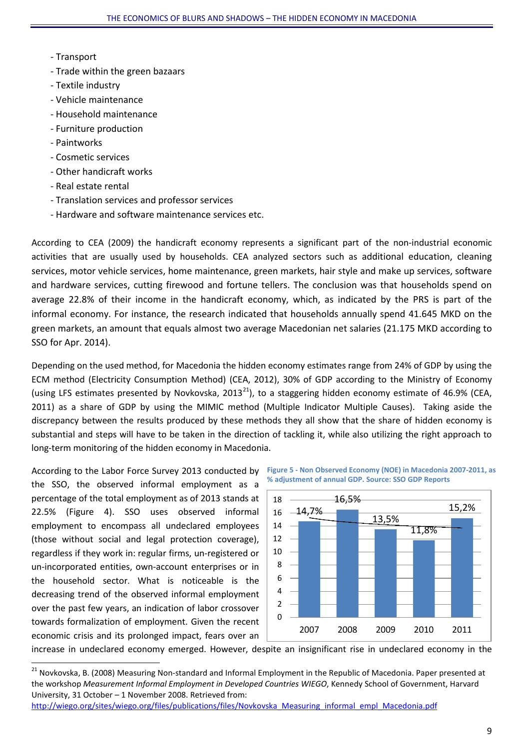- Transport
- Trade within the green bazaars
- Textile industry
- Vehicle maintenance
- Household maintenance
- Furniture production
- Paintworks
- Cosmetic services
- Other handicraft works
- Real estate rental
- Translation services and professor services
- Hardware and software maintenance services etc.

According to CEA (2009) the handicraft economy represents a significant part of the non-industrial economic activities that are usually used by households. CEA analyzed sectors such as additional education, cleaning services, motor vehicle services, home maintenance, green markets, hair style and make up services, software and hardware services, cutting firewood and fortune tellers. The conclusion was that households spend on average 22.8% of their income in the handicraft economy, which, as indicated by the PRS is part of the informal economy. For instance, the research indicated that households annually spend 41.645 MKD on the green markets, an amount that equals almost two average Macedonian net salaries (21.175 MKD according to SSO for Apr. 2014).

Depending on the used method, for Macedonia the hidden economy estimates range from 24% of GDP by using the ECM method (Electricity Consumption Method) (CEA, 2012), 30% of GDP according to the Ministry of Economy (using LFS estimates presented by Novkovska, 2013<sup>21</sup>), to a staggering hidden economy estimate of 46.9% (CEA, 2011) as a share of GDP by using the MIMIC method (Multiple Indicator Multiple Causes). Taking aside the discrepancy between the results produced by these methods they all show that the share of hidden economy is substantial and steps will have to be taken in the direction of tackling it, while also utilizing the right approach to long-term monitoring of the hidden economy in Macedonia.

According to the Labor Force Survey 2013 conducted by the SSO, the observed informal employment as a percentage of the total employment as of 2013 stands at 22.5% [\(Figure 4\)](#page-7-6). SSO uses observed informal employment to encompass all undeclared employees (those without social and legal protection coverage), regardless if they work in: regular firms, un-registered or un-incorporated entities, own-account enterprises or in the household sector. What is noticeable is the decreasing trend of the observed informal employment over the past few years, an indication of labor crossover towards formalization of employment. Given the recent economic crisis and its prolonged impact, fears over an

<span id="page-8-1"></span>



increase in undeclared economy emerged. However, despite an insignificant rise in undeclared economy in the

<span id="page-8-0"></span><sup>&</sup>lt;sup>21</sup> Novkovska, B. (2008) Measuring Non-standard and Informal Employment in the Republic of Macedonia. Paper presented at the workshop *Measurement Informal Employment in Developed Countries WIEGO*, Kennedy School of Government, Harvard University, 31 October – 1 November 2008. Retrieved from:

[http://wiego.org/sites/wiego.org/files/publications/files/Novkovska\\_Measuring\\_informal\\_empl\\_Macedonia.pdf](http://wiego.org/sites/wiego.org/files/publications/files/Novkovska_Measuring_informal_empl_Macedonia.pdf)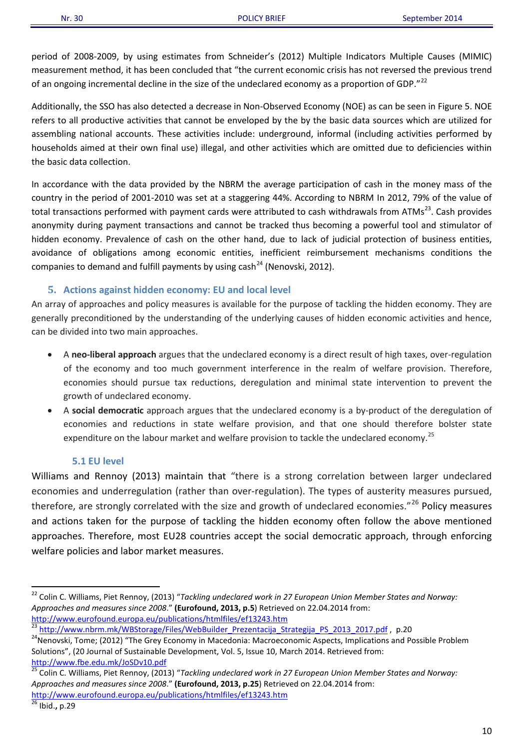period of 2008-2009, by using estimates from Schneider's (2012) Multiple Indicators Multiple Causes (MIMIC) measurement method, it has been concluded that "the current economic crisis has not reversed the previous trend of an ongoing incremental decline in the size of the undeclared economy as a proportion of GDP."[22](#page-9-2)

Additionally, the SSO has also detected a decrease in Non-Observed Economy (NOE) as can be seen in [Figure 5.](#page-8-1) NOE refers to all productive activities that cannot be enveloped by the by the basic data sources which are utilized for assembling national accounts. These activities include: underground, informal (including activities performed by households aimed at their own final use) illegal, and other activities which are omitted due to deficiencies within the basic data collection.

In accordance with the data provided by the NBRM the average participation of cash in the money mass of the country in the period of 2001-2010 was set at a staggering 44%. According to NBRM In 2012, 79% of the value of total transactions performed with payment cards were attributed to cash withdrawals from ATMs<sup>[23](#page-9-3)</sup>. Cash provides anonymity during payment transactions and cannot be tracked thus becoming a powerful tool and stimulator of hidden economy. Prevalence of cash on the other hand, due to lack of judicial protection of business entities, avoidance of obligations among economic entities, inefficient reimbursement mechanisms conditions the companies to demand and fulfill payments by using cash<sup>[24](#page-9-4)</sup> (Nenovski, 2012).

# **5. Actions against hidden economy: EU and local level**

<span id="page-9-0"></span>An array of approaches and policy measures is available for the purpose of tackling the hidden economy. They are generally preconditioned by the understanding of the underlying causes of hidden economic activities and hence, can be divided into two main approaches.

- A **neo-liberal approach** argues that the undeclared economy is a direct result of high taxes, over-regulation of the economy and too much government interference in the realm of welfare provision. Therefore, economies should pursue tax reductions, deregulation and minimal state intervention to prevent the growth of undeclared economy.
- A **social democratic** approach argues that the undeclared economy is a by-product of the deregulation of economies and reductions in state welfare provision, and that one should therefore bolster state expenditure on the labour market and welfare provision to tackle the undeclared economy.<sup>[25](#page-9-5)</sup>

# **5.1 EU level**

<span id="page-9-1"></span>Williams and Rennoy (2013) maintain that "there is a strong correlation between larger undeclared economies and underregulation (rather than over-regulation). The types of austerity measures pursued, therefore, are strongly correlated with the size and growth of undeclared economies."<sup>[26](#page-9-6)</sup> Policy measures and actions taken for the purpose of tackling the hidden economy often follow the above mentioned approaches. Therefore, most EU28 countries accept the social democratic approach, through enforcing welfare policies and labor market measures.

<span id="page-9-2"></span><sup>&</sup>lt;sup>22</sup> Colin C. Williams, Piet Rennoy, (2013) "Tackling undeclared work in 27 European Union Member States and Norway: *Approaches and measures since 2008*." **(Eurofound, 2013, p.5**) Retrieved on 22.04.2014 from: <http://www.eurofound.europa.eu/publications/htmlfiles/ef13243.htm>

<span id="page-9-4"></span>

<span id="page-9-3"></span><sup>23</sup> [http://www.nbrm.mk/WBStorage/Files/WebBuilder\\_Prezentacija\\_Strategija\\_PS\\_2013\\_2017.pdf](http://www.nbrm.mk/WBStorage/Files/WebBuilder_Prezentacija_Strategija_PS_2013_2017.pdf) , p.20<br><sup>24</sup>Nenovski, Tome; (2012) "The Grey Economy in Macedonia: Macroeconomic Aspects, Implications and Possible Problem Solutions", (20 Journal of Sustainable Development, Vol. 5, Issue 10, March 2014. Retrieved from:

<span id="page-9-5"></span><http://www.fbe.edu.mk/JoSDv10.pdf><br><sup>25</sup> Colin C. Williams, Piet Rennoy, (2013) "Tackling undeclared work in 27 European Union Member States and Norway: *Approaches and measures since 2008*." **(Eurofound, 2013, p.25**) Retrieved on 22.04.2014 from: <http://www.eurofound.europa.eu/publications/htmlfiles/ef13243.htm>

<span id="page-9-6"></span><sup>26</sup> Ibid.**,** p.29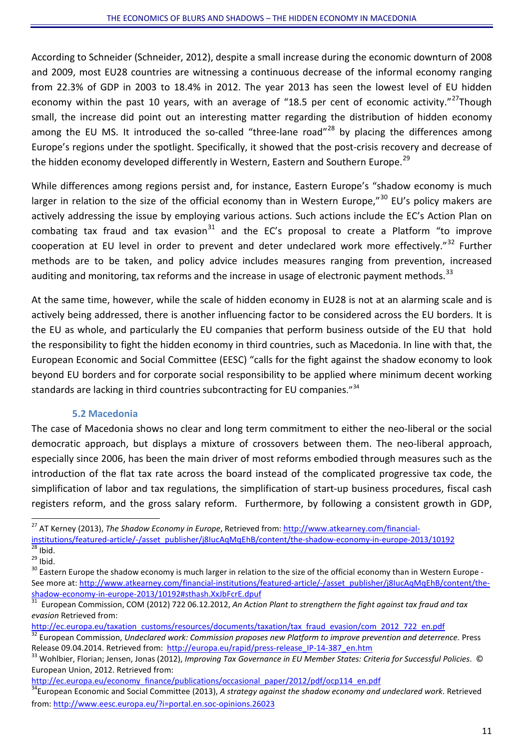According to Schneider (Schneider, 2012), despite a small increase during the economic downturn of 2008 and 2009, most EU28 countries are witnessing a continuous decrease of the informal economy ranging from 22.3% of GDP in 2003 to 18.4% in 2012. The year 2013 has seen the lowest level of EU hidden economy within the past 10 years, with an average of "18.5 per cent of economic activity."<sup>27</sup>Though small, the increase did point out an interesting matter regarding the distribution of hidden economy among the EU MS. It introduced the so-called "three-lane road"<sup>[28](#page-10-2)</sup> by placing the differences among Europe's regions under the spotlight. Specifically, it showed that the post-crisis recovery and decrease of the hidden economy developed differently in Western, Eastern and Southern Europe.<sup>[29](#page-10-3)</sup>

While differences among regions persist and, for instance, Eastern Europe's "shadow economy is much larger in relation to the size of the official economy than in Western Europe."<sup>[30](#page-10-4)</sup> EU's policy makers are actively addressing the issue by employing various actions. Such actions include the EC's Action Plan on combating tax fraud and tax evasion<sup>[31](#page-10-5)</sup> and the EC's proposal to create a Platform "to improve cooperation at EU level in order to prevent and deter undeclared work more effectively."<sup>[32](#page-10-6)</sup> Further methods are to be taken, and policy advice includes measures ranging from prevention, increased auditing and monitoring, tax reforms and the increase in usage of electronic payment methods.<sup>[33](#page-10-7)</sup>

At the same time, however, while the scale of hidden economy in EU28 is not at an alarming scale and is actively being addressed, there is another influencing factor to be considered across the EU borders. It is the EU as whole, and particularly the EU companies that perform business outside of the EU that hold the responsibility to fight the hidden economy in third countries, such as Macedonia. In line with that, the European Economic and Social Committee (EESC) "calls for the fight against the shadow economy to look beyond EU borders and for corporate social responsibility to be applied where minimum decent working standards are lacking in third countries subcontracting for EU companies."<sup>[34](#page-10-8)</sup>

# **5.2 Macedonia**

<span id="page-10-0"></span>The case of Macedonia shows no clear and long term commitment to either the neo-liberal or the social democratic approach, but displays a mixture of crossovers between them. The neo-liberal approach, especially since 2006, has been the main driver of most reforms embodied through measures such as the introduction of the flat tax rate across the board instead of the complicated progressive tax code, the simplification of labor and tax regulations, the simplification of start-up business procedures, fiscal cash registers reform, and the gross salary reform. Furthermore, by following a consistent growth in GDP,

<span id="page-10-1"></span><sup>&</sup>lt;sup>27</sup> AT Kerney (2013), *The Shadow Economy in Europe*, Retrieved from: http://www.atkearney.com/financial-<br>institutions/featured-article/-/asset publisher/j8lucAqMqEhB/content/the-shadow-economy-in-europe-2013/10192 28 Ibid.<br>29 Ibid.<br>30 Eastern Europe the shadow economy is much larger in relation to the size of the official economy than in Western Europe -

<span id="page-10-3"></span><span id="page-10-2"></span>

<span id="page-10-4"></span>See more at: http://www.atkearney.com/financial-institutions/featured-article/-/asset\_publisher/j8IucAqMqEhB/content/the-<br>shadow-economy-in-europe-2013/10192#sthash.XxJbFcrE.dpuf<br>31 European Commission COM (2013) Tan 86 15

<span id="page-10-5"></span>European Commission, COM (2012) 722 06.12.2012, *An Action Plant to strengthern the fight against tax fraud and tax evasion* Retrieved from:

[http://ec.europa.eu/taxation\\_customs/resources/documents/taxation/tax\\_fraud\\_evasion/com\\_2012\\_722\\_en.pdf](http://ec.europa.eu/taxation_customs/resources/documents/taxation/tax_fraud_evasion/com_2012_722_en.pdf)

<span id="page-10-6"></span><sup>32</sup> European Commission, *Undeclared work: Commission proposes new Platform to improve prevention and deterrence.* Press

<span id="page-10-7"></span>Release 09.04.2014. Retrieved from: [http://europa.eu/rapid/press-release\\_IP-14-387\\_en.htm](http://europa.eu/rapid/press-release_IP-14-387_en.htm) 33 Uohlbier, Florian; Jensen, Jonas (2012), *Improving Tax Governance in EU Member States: Criteria for Successful Policies*. © European Union, 2012. Retrieved from:

<span id="page-10-8"></span>[http://ec.europa.eu/economy\\_finance/publications/occasional\\_paper/2012/pdf/ocp114\\_en.pdf](http://ec.europa.eu/economy_finance/publications/occasional_paper/2012/pdf/ocp114_en.pdf)<br><sup>34</sup>European Economic and Social Committee (2013), *A strategy against the shadow economy and undeclared work*. Retrieved from:<http://www.eesc.europa.eu/?i=portal.en.soc-opinions.26023>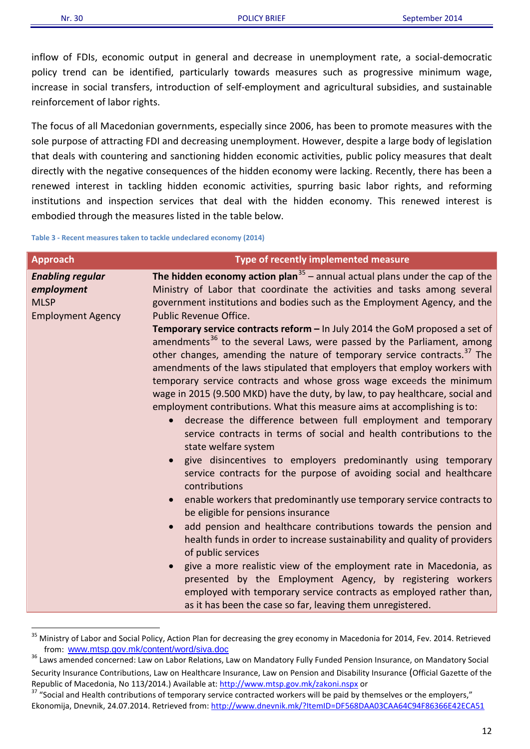inflow of FDIs, economic output in general and decrease in unemployment rate, a social-democratic policy trend can be identified, particularly towards measures such as progressive minimum wage, increase in social transfers, introduction of self-employment and agricultural subsidies, and sustainable reinforcement of labor rights.

The focus of all Macedonian governments, especially since 2006, has been to promote measures with the sole purpose of attracting FDI and decreasing unemployment. However, despite a large body of legislation that deals with countering and sanctioning hidden economic activities, public policy measures that dealt directly with the negative consequences of the hidden economy were lacking. Recently, there has been a renewed interest in tackling hidden economic activities, spurring basic labor rights, and reforming institutions and inspection services that deal with the hidden economy. This renewed interest is embodied through the measures listed in the table below.

**Table 3 - Recent measures taken to tackle undeclared economy (2014)**

| <b>Approach</b>                                                                  | Type of recently implemented measure                                                                                                                                                                                                                                                                                                                                                                                                                                                                                                                                                                                                                                                                                                                                                                                                                                                                                                                                                                                                                                                                                                                                                                                                                                                                                                                                                                                                                                                                                                                                                                                                                                                                                                             |
|----------------------------------------------------------------------------------|--------------------------------------------------------------------------------------------------------------------------------------------------------------------------------------------------------------------------------------------------------------------------------------------------------------------------------------------------------------------------------------------------------------------------------------------------------------------------------------------------------------------------------------------------------------------------------------------------------------------------------------------------------------------------------------------------------------------------------------------------------------------------------------------------------------------------------------------------------------------------------------------------------------------------------------------------------------------------------------------------------------------------------------------------------------------------------------------------------------------------------------------------------------------------------------------------------------------------------------------------------------------------------------------------------------------------------------------------------------------------------------------------------------------------------------------------------------------------------------------------------------------------------------------------------------------------------------------------------------------------------------------------------------------------------------------------------------------------------------------------|
| <b>Enabling regular</b><br>employment<br><b>MLSP</b><br><b>Employment Agency</b> | The hidden economy action plan <sup>35</sup> – annual actual plans under the cap of the<br>Ministry of Labor that coordinate the activities and tasks among several<br>government institutions and bodies such as the Employment Agency, and the<br>Public Revenue Office.<br>Temporary service contracts reform - In July 2014 the GoM proposed a set of<br>amendments <sup>36</sup> to the several Laws, were passed by the Parliament, among<br>other changes, amending the nature of temporary service contracts. <sup>37</sup> The<br>amendments of the laws stipulated that employers that employ workers with<br>temporary service contracts and whose gross wage exceeds the minimum<br>wage in 2015 (9.500 MKD) have the duty, by law, to pay healthcare, social and<br>employment contributions. What this measure aims at accomplishing is to:<br>decrease the difference between full employment and temporary<br>service contracts in terms of social and health contributions to the<br>state welfare system<br>give disincentives to employers predominantly using temporary<br>service contracts for the purpose of avoiding social and healthcare<br>contributions<br>enable workers that predominantly use temporary service contracts to<br>be eligible for pensions insurance<br>add pension and healthcare contributions towards the pension and<br>health funds in order to increase sustainability and quality of providers<br>of public services<br>give a more realistic view of the employment rate in Macedonia, as<br>presented by the Employment Agency, by registering workers<br>employed with temporary service contracts as employed rather than,<br>as it has been the case so far, leaving them unregistered. |

<span id="page-11-0"></span> <sup>35</sup> Ministry of Labor and Social Policy, Action Plan for decreasing the grey economy in Macedonia for 2014, Fev. 2014. Retrieved

<span id="page-11-1"></span>from: [www.mtsp.gov.mk/content/word/siva.doc](http://www.mtsp.gov.mk/content/word/siva.doc) 6<br><sup>36</sup> Laws amended concerned: Law on Labor Relations, Law on Mandatory Fully Funded Pension Insurance, on Mandatory Social Security Insurance Contributions, Law on Healthcare Insurance, Law on Pension and Disability Insurance (Official Gazette of the Republic [o](http://www.mtsp.gov.mk/zakoni.nspx)f Macedonia, No 113/2014.) Available at: http://www.mtsp.gov.mk/zakoni.nspx or<br><sup>37</sup> "Social and Health contributions of temporary service contracted workers will be paid by themselves or the employers,"

<span id="page-11-2"></span>Ekonomija, Dnevnik, 24.07.2014. Retrieved from: <http://www.dnevnik.mk/?ItemID=DF568DAA03CAA64C94F86366E42ECA51>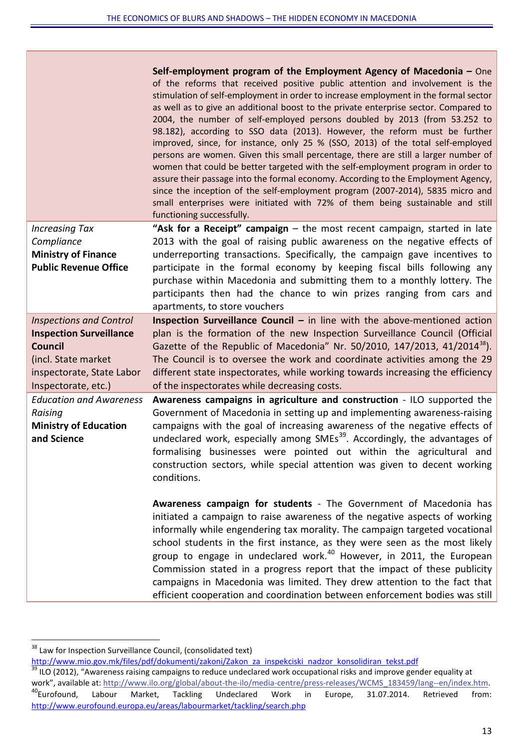|                                                                                                                                                               | Self-employment program of the Employment Agency of Macedonia – One<br>of the reforms that received positive public attention and involvement is the<br>stimulation of self-employment in order to increase employment in the formal sector<br>as well as to give an additional boost to the private enterprise sector. Compared to<br>2004, the number of self-employed persons doubled by 2013 (from 53.252 to<br>98.182), according to SSO data (2013). However, the reform must be further<br>improved, since, for instance, only 25 % (SSO, 2013) of the total self-employed<br>persons are women. Given this small percentage, there are still a larger number of<br>women that could be better targeted with the self-employment program in order to<br>assure their passage into the formal economy. According to the Employment Agency,<br>since the inception of the self-employment program (2007-2014), 5835 micro and<br>small enterprises were initiated with 72% of them being sustainable and still<br>functioning successfully. |
|---------------------------------------------------------------------------------------------------------------------------------------------------------------|--------------------------------------------------------------------------------------------------------------------------------------------------------------------------------------------------------------------------------------------------------------------------------------------------------------------------------------------------------------------------------------------------------------------------------------------------------------------------------------------------------------------------------------------------------------------------------------------------------------------------------------------------------------------------------------------------------------------------------------------------------------------------------------------------------------------------------------------------------------------------------------------------------------------------------------------------------------------------------------------------------------------------------------------------|
| <b>Increasing Tax</b><br>Compliance<br><b>Ministry of Finance</b><br><b>Public Revenue Office</b>                                                             | "Ask for a Receipt" campaign – the most recent campaign, started in late<br>2013 with the goal of raising public awareness on the negative effects of<br>underreporting transactions. Specifically, the campaign gave incentives to<br>participate in the formal economy by keeping fiscal bills following any<br>purchase within Macedonia and submitting them to a monthly lottery. The                                                                                                                                                                                                                                                                                                                                                                                                                                                                                                                                                                                                                                                        |
|                                                                                                                                                               | participants then had the chance to win prizes ranging from cars and<br>apartments, to store vouchers                                                                                                                                                                                                                                                                                                                                                                                                                                                                                                                                                                                                                                                                                                                                                                                                                                                                                                                                            |
| <b>Inspections and Control</b><br><b>Inspection Surveillance</b><br><b>Council</b><br>(incl. State market<br>inspectorate, State Labor<br>Inspectorate, etc.) | <b>Inspection Surveillance Council - in line with the above-mentioned action</b><br>plan is the formation of the new Inspection Surveillance Council (Official<br>Gazette of the Republic of Macedonia" Nr. 50/2010, 147/2013, 41/2014 <sup>38</sup> ).<br>The Council is to oversee the work and coordinate activities among the 29<br>different state inspectorates, while working towards increasing the efficiency<br>of the inspectorates while decreasing costs.                                                                                                                                                                                                                                                                                                                                                                                                                                                                                                                                                                           |
| <b>Education and Awareness</b><br>Raising<br><b>Ministry of Education</b><br>and Science                                                                      | Awareness campaigns in agriculture and construction - ILO supported the<br>Government of Macedonia in setting up and implementing awareness-raising<br>campaigns with the goal of increasing awareness of the negative effects of<br>undeclared work, especially among SMEs <sup>39</sup> . Accordingly, the advantages of<br>formalising businesses were pointed out within the agricultural and<br>construction sectors, while special attention was given to decent working<br>conditions.                                                                                                                                                                                                                                                                                                                                                                                                                                                                                                                                                    |
|                                                                                                                                                               | Awareness campaign for students - The Government of Macedonia has<br>initiated a campaign to raise awareness of the negative aspects of working<br>informally while engendering tax morality. The campaign targeted vocational<br>school students in the first instance, as they were seen as the most likely<br>group to engage in undeclared work. <sup>40</sup> However, in 2011, the European<br>Commission stated in a progress report that the impact of these publicity<br>campaigns in Macedonia was limited. They drew attention to the fact that<br>efficient cooperation and coordination between enforcement bodies was still                                                                                                                                                                                                                                                                                                                                                                                                        |

<span id="page-12-0"></span><sup>&</sup>lt;sup>38</sup> Law for Inspection Surveillance Council, (consolidated text)

<span id="page-12-1"></span>

[http://www.mio.gov.mk/files/pdf/dokumenti/zakoni/Zakon\\_za\\_inspekciski\\_nadzor\\_konsolidiran\\_tekst.pdf](http://www.mio.gov.mk/files/pdf/dokumenti/zakoni/Zakon_za_inspekciski_nadzor_konsolidiran_tekst.pdf) 39 ILO (2012), "Awareness raising campaigns to reduce undeclared work occupational risks and improve gender equality at work", available at: [http://www.ilo.org/global/about-the-ilo/media-centre/press-releases/WCMS\\_183459/lang--en/index.htm.](http://www.ilo.org/global/about-the-ilo/media-centre/press-releases/WCMS_183459/lang--en/index.htm)

<span id="page-12-2"></span><sup>40</sup>Eurofound, Labour Market, Tackling Undeclared Work in Europe, 31.07.2014. Retrieved from: <http://www.eurofound.europa.eu/areas/labourmarket/tackling/search.php>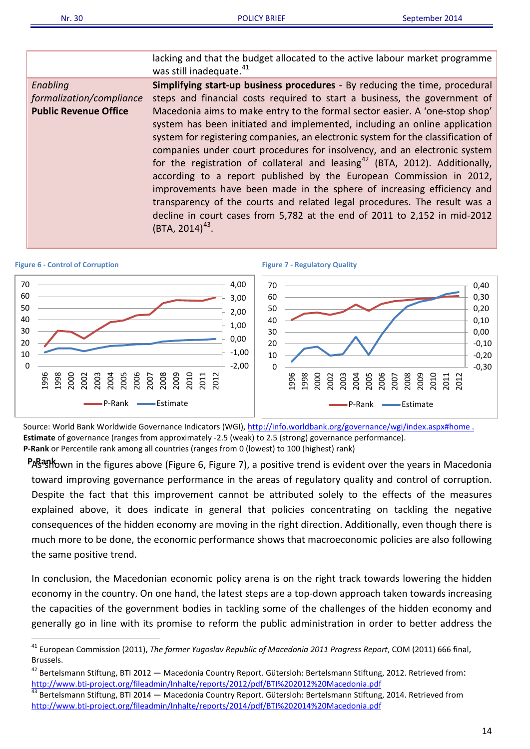|                              | lacking and that the budget allocated to the active labour market programme<br>was still inadequate. <sup>41</sup>                                             |
|------------------------------|----------------------------------------------------------------------------------------------------------------------------------------------------------------|
| Enabling                     | Simplifying start-up business procedures - By reducing the time, procedural                                                                                    |
| formalization/compliance     | steps and financial costs required to start a business, the government of                                                                                      |
| <b>Public Revenue Office</b> | Macedonia aims to make entry to the formal sector easier. A 'one-stop shop'                                                                                    |
|                              | system has been initiated and implemented, including an online application<br>system for registering companies, an electronic system for the classification of |
|                              | companies under court procedures for insolvency, and an electronic system                                                                                      |
|                              | for the registration of collateral and leasing <sup>42</sup> (BTA, 2012). Additionally,                                                                        |
|                              | according to a report published by the European Commission in 2012,                                                                                            |
|                              | improvements have been made in the sphere of increasing efficiency and                                                                                         |
|                              | transparency of the courts and related legal procedures. The result was a                                                                                      |
|                              | decline in court cases from 5,782 at the end of 2011 to 2,152 in mid-2012<br>$(BTA, 2014)^{43}$ .                                                              |
|                              |                                                                                                                                                                |

<span id="page-13-0"></span>

Source: World Bank Worldwide Governance Indicators (WGI), http://info.worldbank.org/governance/wgi/index.aspx#home . **Estimate** of governance (ranges from approximately -2.5 (weak) to 2.5 (strong) governance performance). **P-Rank** or Percentile rank among all countries (ranges from 0 (lowest) to 100 (highest) rank)

PAB<sup>agh</sup>own in the figures above (Figure 6, [Figure 7](#page-13-0)), a positive trend is evident over the years in Macedonia toward improving governance performance in the areas of regulatory quality and control of corruption. Despite the fact that this improvement cannot be attributed solely to the effects of the measures explained above, it does indicate in general that policies concentrating on tackling the negative consequences of the hidden economy are moving in the right direction. Additionally, even though there is much more to be done, the economic performance shows that macroeconomic policies are also following the same positive trend.

In conclusion, the Macedonian economic policy arena is on the right track towards lowering the hidden economy in the country. On one hand, the latest steps are a top-down approach taken towards increasing the capacities of the government bodies in tackling some of the challenges of the hidden economy and generally go in line with its promise to reform the public administration in order to better address the

<span id="page-13-1"></span> <sup>41</sup> European Commission (2011), *The former Yugoslav Republic of Macedonia 2011 Progress Report*, COM (2011) 666 final, Brussels.

<span id="page-13-2"></span><sup>&</sup>lt;sup>42</sup> Bertelsmann Stiftung, BTI 2012 — Macedonia Country Report. Gütersloh: Bertelsmann Stiftung, 2012. Retrieved from: <http://www.bti-project.org/fileadmin/Inhalte/reports/2012/pdf/BTI%202012%20Macedonia.pdf><br><sup>43</sup> Bertelsmann Stiftung, BTI 2014 — Macedonia Country Report. Gütersloh: Bertelsmann Stiftung, 2014. Retrieved from

<span id="page-13-3"></span><http://www.bti-project.org/fileadmin/Inhalte/reports/2014/pdf/BTI%202014%20Macedonia.pdf>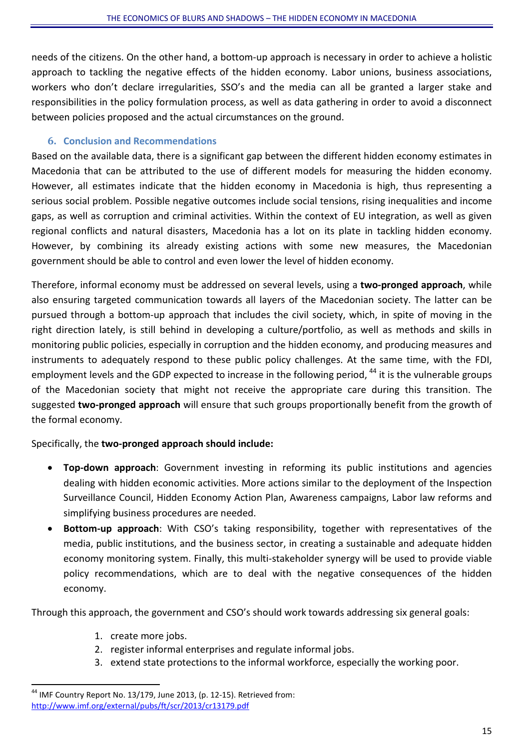needs of the citizens. On the other hand, a bottom-up approach is necessary in order to achieve a holistic approach to tackling the negative effects of the hidden economy. Labor unions, business associations, workers who don't declare irregularities, SSO's and the media can all be granted a larger stake and responsibilities in the policy formulation process, as well as data gathering in order to avoid a disconnect between policies proposed and the actual circumstances on the ground.

# <span id="page-14-0"></span>**6. Conclusion and Recommendations**

Based on the available data, there is a significant gap between the different hidden economy estimates in Macedonia that can be attributed to the use of different models for measuring the hidden economy. However, all estimates indicate that the hidden economy in Macedonia is high, thus representing a serious social problem. Possible negative outcomes include social tensions, rising inequalities and income gaps, as well as corruption and criminal activities. Within the context of EU integration, as well as given regional conflicts and natural disasters, Macedonia has a lot on its plate in tackling hidden economy. However, by combining its already existing actions with some new measures, the Macedonian government should be able to control and even lower the level of hidden economy.

Therefore, informal economy must be addressed on several levels, using a **two-pronged approach**, while also ensuring targeted communication towards all layers of the Macedonian society. The latter can be pursued through a bottom-up approach that includes the civil society, which, in spite of moving in the right direction lately, is still behind in developing a culture/portfolio, as well as methods and skills in monitoring public policies, especially in corruption and the hidden economy, and producing measures and instruments to adequately respond to these public policy challenges. At the same time, with the FDI, employment levels and the GDP expected to increase in the following period, <sup>[44](#page-14-1)</sup> it is the vulnerable groups of the Macedonian society that might not receive the appropriate care during this transition. The suggested **two-pronged approach** will ensure that such groups proportionally benefit from the growth of the formal economy.

# Specifically, the **two-pronged approach should include:**

- **Top-down approach**: Government investing in reforming its public institutions and agencies dealing with hidden economic activities. More actions similar to the deployment of the Inspection Surveillance Council, Hidden Economy Action Plan, Awareness campaigns, Labor law reforms and simplifying business procedures are needed.
- **Bottom-up approach**: With CSO's taking responsibility, together with representatives of the media, public institutions, and the business sector, in creating a sustainable and adequate hidden economy monitoring system. Finally, this multi-stakeholder synergy will be used to provide viable policy recommendations, which are to deal with the negative consequences of the hidden economy.

Through this approach, the government and CSO's should work towards addressing six general goals:

- 1. create more jobs.
- 2. register informal enterprises and regulate informal jobs.
- 3. extend state protections to the informal workforce, especially the working poor.

<span id="page-14-1"></span><sup>&</sup>lt;sup>44</sup> IMF Country Report No. 13/179, June 2013, (p. 12-15). Retrieved from: <http://www.imf.org/external/pubs/ft/scr/2013/cr13179.pdf>